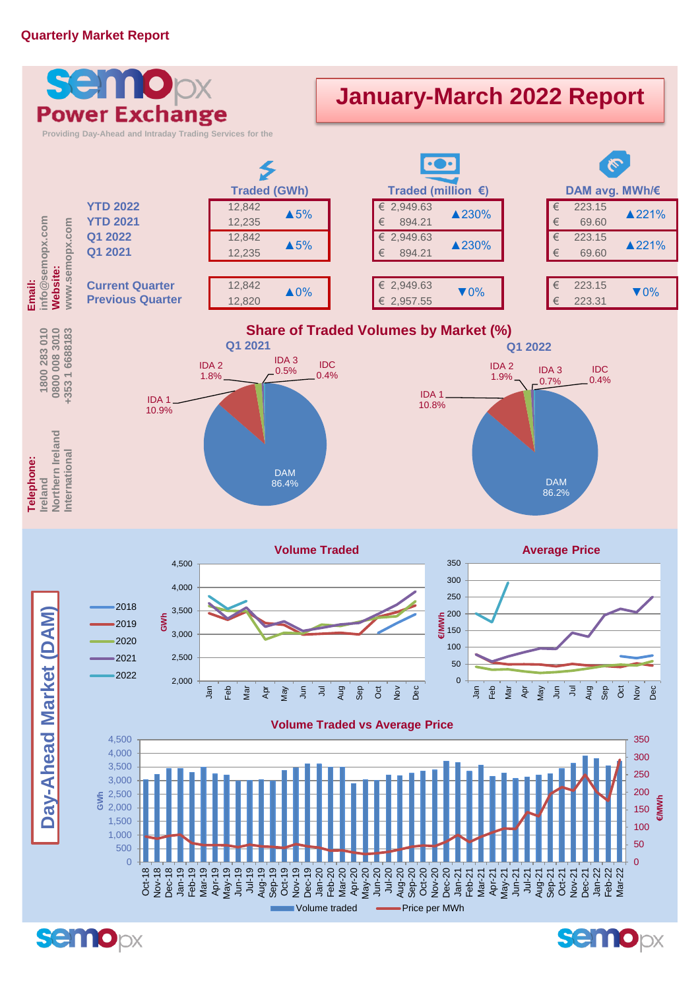## **Quarterly Market Report**